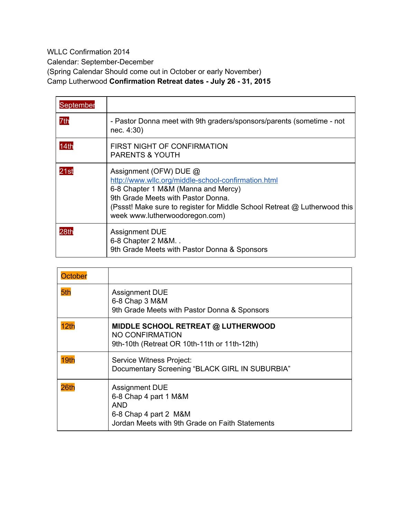WLLC Confirmation 2014 Calendar: September-December (Spring Calendar Should come out in October or early November) Camp Lutherwood **Confirmation Retreat dates July 26 31, 2015**

| September |                                                                                                                                                                                                                                                                           |
|-----------|---------------------------------------------------------------------------------------------------------------------------------------------------------------------------------------------------------------------------------------------------------------------------|
| 7th       | - Pastor Donna meet with 9th graders/sponsors/parents (sometime - not<br>nec. 4:30)                                                                                                                                                                                       |
| 14th      | FIRST NIGHT OF CONFIRMATION<br><b>PARENTS &amp; YOUTH</b>                                                                                                                                                                                                                 |
| 21st      | Assignment (OFW) DUE @<br>http://www.wllc.org/middle-school-confirmation.html<br>6-8 Chapter 1 M&M (Manna and Mercy)<br>9th Grade Meets with Pastor Donna.<br>(Pssst! Make sure to register for Middle School Retreat @ Lutherwood this<br>week www.lutherwoodoregon.com) |
| 28th      | <b>Assignment DUE</b><br>6-8 Chapter 2 M&M<br>9th Grade Meets with Pastor Donna & Sponsors                                                                                                                                                                                |

| <b>October</b> |                                                                                                                                          |
|----------------|------------------------------------------------------------------------------------------------------------------------------------------|
| 5th            | <b>Assignment DUE</b><br>6-8 Chap 3 M&M<br>9th Grade Meets with Pastor Donna & Sponsors                                                  |
| 12th           | MIDDLE SCHOOL RETREAT @ LUTHERWOOD<br>NO CONFIRMATION<br>9th-10th (Retreat OR 10th-11th or 11th-12th)                                    |
| 19th           | Service Witness Project:<br>Documentary Screening "BLACK GIRL IN SUBURBIA"                                                               |
| 26th           | <b>Assignment DUE</b><br>6-8 Chap 4 part 1 M&M<br><b>AND</b><br>6-8 Chap 4 part 2 M&M<br>Jordan Meets with 9th Grade on Faith Statements |